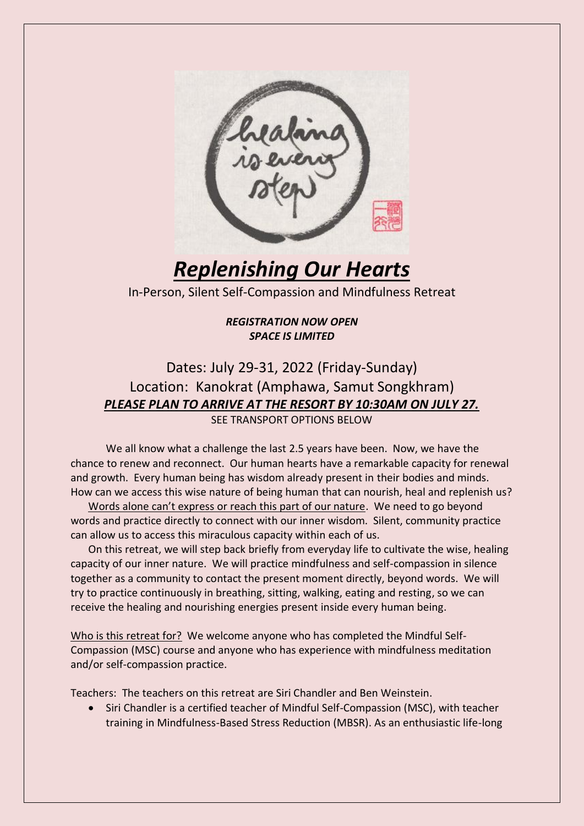

*Replenishing Our Hearts*

In-Person, Silent Self-Compassion and Mindfulness Retreat

### *REGISTRATION NOW OPEN SPACE IS LIMITED*

## Dates: July 29-31, 2022 (Friday-Sunday) Location: Kanokrat (Amphawa, Samut Songkhram) *PLEASE PLAN TO ARRIVE AT THE RESORT BY 10:30AM ON JULY 27.*  SEE TRANSPORT OPTIONS BELOW

We all know what a challenge the last 2.5 years have been. Now, we have the chance to renew and reconnect. Our human hearts have a remarkable capacity for renewal and growth. Every human being has wisdom already present in their bodies and minds. How can we access this wise nature of being human that can nourish, heal and replenish us?

Words alone can't express or reach this part of our nature. We need to go beyond words and practice directly to connect with our inner wisdom. Silent, community practice can allow us to access this miraculous capacity within each of us.

On this retreat, we will step back briefly from everyday life to cultivate the wise, healing capacity of our inner nature. We will practice mindfulness and self-compassion in silence together as a community to contact the present moment directly, beyond words. We will try to practice continuously in breathing, sitting, walking, eating and resting, so we can receive the healing and nourishing energies present inside every human being.

Who is this retreat for? We welcome anyone who has completed the Mindful Self-Compassion (MSC) course and anyone who has experience with mindfulness meditation and/or self-compassion practice.

Teachers: The teachers on this retreat are Siri Chandler and Ben Weinstein.

• Siri Chandler is a certified teacher of Mindful Self-Compassion (MSC), with teacher training in Mindfulness-Based Stress Reduction (MBSR). As an enthusiastic life-long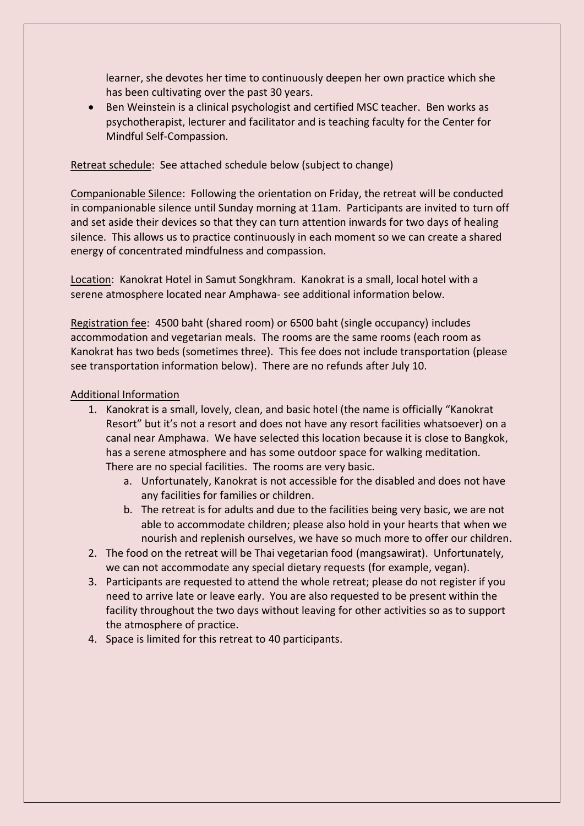learner, she devotes her time to continuously deepen her own practice which she has been cultivating over the past 30 years.

• Ben Weinstein is a clinical psychologist and certified MSC teacher. Ben works as psychotherapist, lecturer and facilitator and is teaching faculty for the Center for Mindful Self-Compassion.

#### Retreat schedule: See attached schedule below (subject to change)

Companionable Silence: Following the orientation on Friday, the retreat will be conducted in companionable silence until Sunday morning at 11am. Participants are invited to turn off and set aside their devices so that they can turn attention inwards for two days of healing silence. This allows us to practice continuously in each moment so we can create a shared energy of concentrated mindfulness and compassion.

Location: Kanokrat Hotel in Samut Songkhram. Kanokrat is a small, local hotel with a serene atmosphere located near Amphawa- see additional information below.

Registration fee: 4500 baht (shared room) or 6500 baht (single occupancy) includes accommodation and vegetarian meals. The rooms are the same rooms (each room as Kanokrat has two beds (sometimes three). This fee does not include transportation (please see transportation information below). There are no refunds after July 10.

#### Additional Information

- 1. Kanokrat is a small, lovely, clean, and basic hotel (the name is officially "Kanokrat Resort" but it's not a resort and does not have any resort facilities whatsoever) on a canal near Amphawa. We have selected this location because it is close to Bangkok, has a serene atmosphere and has some outdoor space for walking meditation. There are no special facilities. The rooms are very basic.
	- a. Unfortunately, Kanokrat is not accessible for the disabled and does not have any facilities for families or children.
	- b. The retreat is for adults and due to the facilities being very basic, we are not able to accommodate children; please also hold in your hearts that when we nourish and replenish ourselves, we have so much more to offer our children.
- 2. The food on the retreat will be Thai vegetarian food (mangsawirat). Unfortunately, we can not accommodate any special dietary requests (for example, vegan).
- 3. Participants are requested to attend the whole retreat; please do not register if you need to arrive late or leave early. You are also requested to be present within the facility throughout the two days without leaving for other activities so as to support the atmosphere of practice.
- 4. Space is limited for this retreat to 40 participants.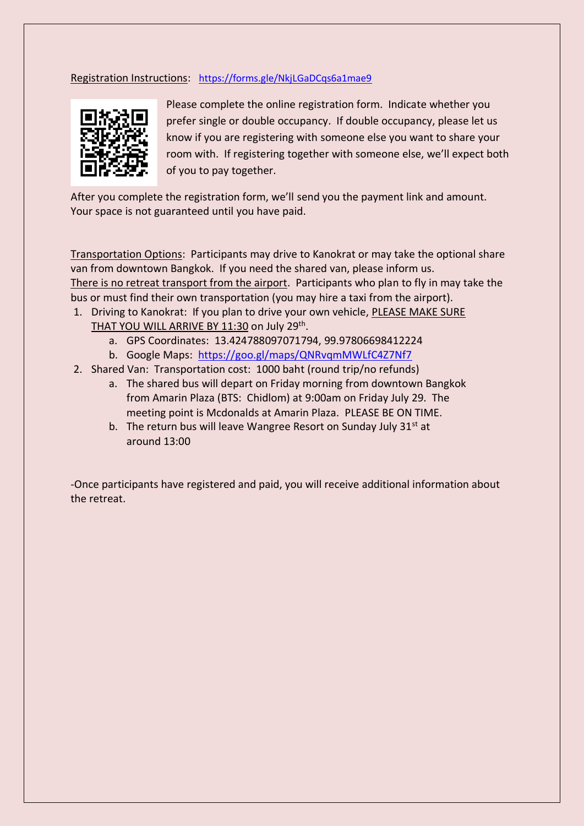#### Registration Instructions: <https://forms.gle/NkjLGaDCqs6a1mae9>



Please complete the online registration form. Indicate whether you prefer single or double occupancy. If double occupancy, please let us know if you are registering with someone else you want to share your room with. If registering together with someone else, we'll expect both of you to pay together.

After you complete the registration form, we'll send you the payment link and amount. Your space is not guaranteed until you have paid.

Transportation Options: Participants may drive to Kanokrat or may take the optional share van from downtown Bangkok. If you need the shared van, please inform us. There is no retreat transport from the airport. Participants who plan to fly in may take the bus or must find their own transportation (you may hire a taxi from the airport).

- 1. Driving to Kanokrat: If you plan to drive your own vehicle, PLEASE MAKE SURE THAT YOU WILL ARRIVE BY 11:30 on July 29<sup>th</sup>.
	- a. GPS Coordinates: 13.424788097071794, 99.97806698412224
	- b. Google Maps: <https://goo.gl/maps/QNRvqmMWLfC4Z7Nf7>
- 2. Shared Van: Transportation cost: 1000 baht (round trip/no refunds)
	- a. The shared bus will depart on Friday morning from downtown Bangkok from Amarin Plaza (BTS: Chidlom) at 9:00am on Friday July 29. The meeting point is Mcdonalds at Amarin Plaza. PLEASE BE ON TIME.
	- b. The return bus will leave Wangree Resort on Sunday July  $31^{st}$  at around 13:00

-Once participants have registered and paid, you will receive additional information about the retreat.